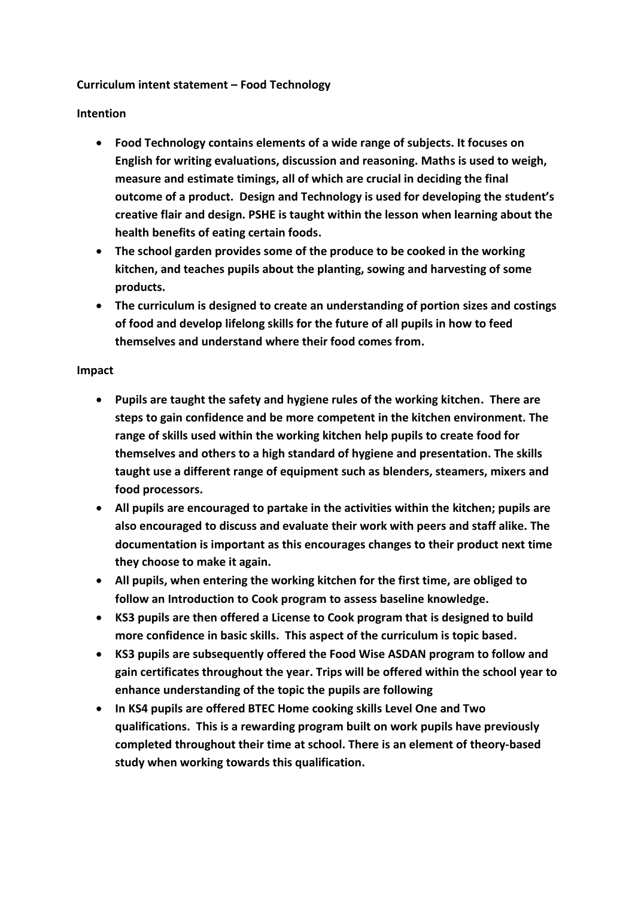## **Curriculum intent statement – Food Technology**

## **Intention**

- **Food Technology contains elements of a wide range of subjects. It focuses on English for writing evaluations, discussion and reasoning. Maths is used to weigh, measure and estimate timings, all of which are crucial in deciding the final outcome of a product. Design and Technology is used for developing the student's creative flair and design. PSHE is taught within the lesson when learning about the health benefits of eating certain foods.**
- **The school garden provides some of the produce to be cooked in the working kitchen, and teaches pupils about the planting, sowing and harvesting of some products.**
- **The curriculum is designed to create an understanding of portion sizes and costings of food and develop lifelong skills for the future of all pupils in how to feed themselves and understand where their food comes from.**

## **Impact**

- **Pupils are taught the safety and hygiene rules of the working kitchen. There are steps to gain confidence and be more competent in the kitchen environment. The range of skills used within the working kitchen help pupils to create food for themselves and others to a high standard of hygiene and presentation. The skills taught use a different range of equipment such as blenders, steamers, mixers and food processors.**
- **All pupils are encouraged to partake in the activities within the kitchen; pupils are also encouraged to discuss and evaluate their work with peers and staff alike. The documentation is important as this encourages changes to their product next time they choose to make it again.**
- **All pupils, when entering the working kitchen for the first time, are obliged to follow an Introduction to Cook program to assess baseline knowledge.**
- **KS3 pupils are then offered a License to Cook program that is designed to build more confidence in basic skills. This aspect of the curriculum is topic based.**
- **KS3 pupils are subsequently offered the Food Wise ASDAN program to follow and gain certificates throughout the year. Trips will be offered within the school year to enhance understanding of the topic the pupils are following**
- **In KS4 pupils are offered BTEC Home cooking skills Level One and Two qualifications. This is a rewarding program built on work pupils have previously completed throughout their time at school. There is an element of theory-based study when working towards this qualification.**